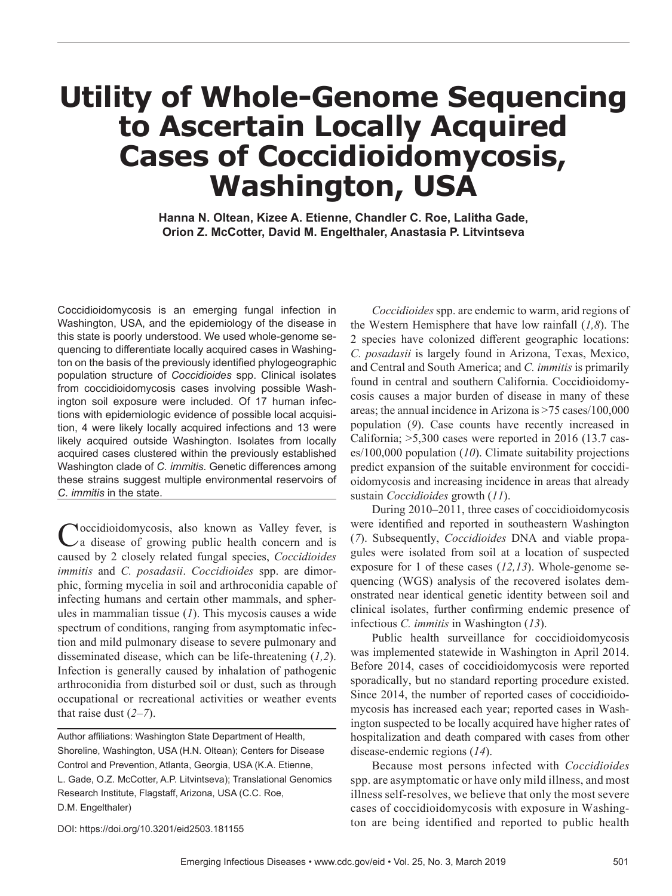## **Utility of Whole-Genome Sequencing to Ascertain Locally Acquired Cases of Coccidioidomycosis, Washington, USA**

**Hanna N. Oltean, Kizee A. Etienne, Chandler C. Roe, Lalitha Gade, Orion Z. McCotter, David M. Engelthaler, Anastasia P. Litvintseva**

Coccidioidomycosis is an emerging fungal infection in Washington, USA, and the epidemiology of the disease in this state is poorly understood. We used whole-genome sequencing to differentiate locally acquired cases in Washington on the basis of the previously identified phylogeographic population structure of *Coccidioides* spp. Clinical isolates from coccidioidomycosis cases involving possible Washington soil exposure were included. Of 17 human infections with epidemiologic evidence of possible local acquisition, 4 were likely locally acquired infections and 13 were likely acquired outside Washington. Isolates from locally acquired cases clustered within the previously established Washington clade of *C. immitis*. Genetic differences among these strains suggest multiple environmental reservoirs of *C. immitis* in the state.

Coccidioidomycosis, also known as Valley fever, is a disease of growing public health concern and is caused by 2 closely related fungal species, *Coccidioides immitis* and *C. posadasii*. *Coccidioides* spp. are dimorphic, forming mycelia in soil and arthroconidia capable of infecting humans and certain other mammals, and spherules in mammalian tissue (*1*). This mycosis causes a wide spectrum of conditions, ranging from asymptomatic infection and mild pulmonary disease to severe pulmonary and disseminated disease, which can be life-threatening (*1,2*). Infection is generally caused by inhalation of pathogenic arthroconidia from disturbed soil or dust, such as through occupational or recreational activities or weather events that raise dust (*2–7*).

Author affiliations: Washington State Department of Health, Shoreline, Washington, USA (H.N. Oltean); Centers for Disease Control and Prevention, Atlanta, Georgia, USA (K.A. Etienne, L. Gade, O.Z. McCotter, A.P. Litvintseva); Translational Genomics Research Institute, Flagstaff, Arizona, USA (C.C. Roe, D.M. Engelthaler)

*Coccidioides* spp. are endemic to warm, arid regions of the Western Hemisphere that have low rainfall (*1,8*). The 2 species have colonized different geographic locations: *C. posadasii* is largely found in Arizona, Texas, Mexico, and Central and South America; and *C. immitis* is primarily found in central and southern California. Coccidioidomycosis causes a major burden of disease in many of these areas; the annual incidence in Arizona is >75 cases/100,000 population (*9*). Case counts have recently increased in California; >5,300 cases were reported in 2016 (13.7 cases/100,000 population (*10*). Climate suitability projections predict expansion of the suitable environment for coccidioidomycosis and increasing incidence in areas that already sustain *Coccidioides* growth (*11*).

During 2010–2011, three cases of coccidioidomycosis were identified and reported in southeastern Washington (*7*). Subsequently, *Coccidioides* DNA and viable propagules were isolated from soil at a location of suspected exposure for 1 of these cases (*12,13*). Whole-genome sequencing (WGS) analysis of the recovered isolates demonstrated near identical genetic identity between soil and clinical isolates, further confirming endemic presence of infectious *C. immitis* in Washington (*13*).

Public health surveillance for coccidioidomycosis was implemented statewide in Washington in April 2014. Before 2014, cases of coccidioidomycosis were reported sporadically, but no standard reporting procedure existed. Since 2014, the number of reported cases of coccidioidomycosis has increased each year; reported cases in Washington suspected to be locally acquired have higher rates of hospitalization and death compared with cases from other disease-endemic regions (*14*).

Because most persons infected with *Coccidioides* spp. are asymptomatic or have only mild illness, and most illness self-resolves, we believe that only the most severe cases of coccidioidomycosis with exposure in Washington are being identified and reported to public health

DOI: https://doi.org/10.3201/eid2503.181155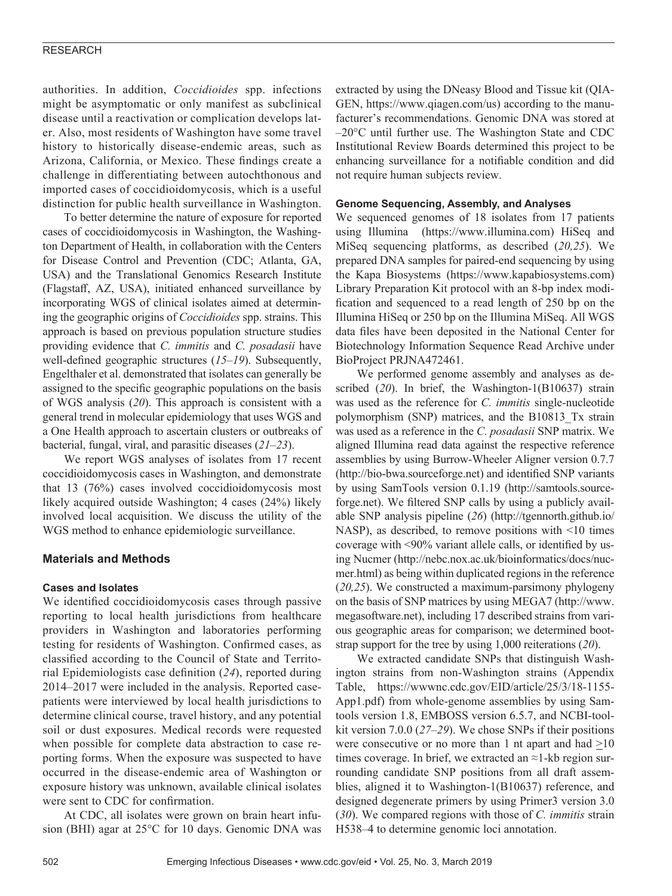#### RESEARCH

authorities. In addition, *Coccidioides* spp. infections might be asymptomatic or only manifest as subclinical disease until a reactivation or complication develops later. Also, most residents of Washington have some travel history to historically disease-endemic areas, such as Arizona, California, or Mexico. These findings create a challenge in differentiating between autochthonous and imported cases of coccidioidomycosis, which is a useful distinction for public health surveillance in Washington.

To better determine the nature of exposure for reported cases of coccidioidomycosis in Washington, the Washington Department of Health, in collaboration with the Centers for Disease Control and Prevention (CDC; Atlanta, GA, USA) and the Translational Genomics Research Institute (Flagstaff, AZ, USA), initiated enhanced surveillance by incorporating WGS of clinical isolates aimed at determining the geographic origins of *Coccidioides* spp. strains. This approach is based on previous population structure studies providing evidence that *C. immitis* and *C. posadasii* have well-defined geographic structures (*15–19*). Subsequently, Engelthaler et al. demonstrated that isolates can generally be assigned to the specific geographic populations on the basis of WGS analysis (*20*). This approach is consistent with a general trend in molecular epidemiology that uses WGS and a One Health approach to ascertain clusters or outbreaks of bacterial, fungal, viral, and parasitic diseases (*21–23*).

We report WGS analyses of isolates from 17 recent coccidioidomycosis cases in Washington, and demonstrate that 13 (76%) cases involved coccidioidomycosis most likely acquired outside Washington; 4 cases (24%) likely involved local acquisition. We discuss the utility of the WGS method to enhance epidemiologic surveillance.

#### **Materials and Methods**

#### **Cases and Isolates**

We identified coccidioidomycosis cases through passive reporting to local health jurisdictions from healthcare providers in Washington and laboratories performing testing for residents of Washington. Confirmed cases, as classified according to the Council of State and Territorial Epidemiologists case definition (*24*), reported during 2014–2017 were included in the analysis. Reported casepatients were interviewed by local health jurisdictions to determine clinical course, travel history, and any potential soil or dust exposures. Medical records were requested when possible for complete data abstraction to case reporting forms. When the exposure was suspected to have occurred in the disease-endemic area of Washington or exposure history was unknown, available clinical isolates were sent to CDC for confirmation.

At CDC, all isolates were grown on brain heart infusion (BHI) agar at 25°C for 10 days. Genomic DNA was extracted by using the DNeasy Blood and Tissue kit (QIA-GEN, https://www.qiagen.com/us) according to the manufacturer's recommendations. Genomic DNA was stored at –20°C until further use. The Washington State and CDC Institutional Review Boards determined this project to be enhancing surveillance for a notifiable condition and did not require human subjects review.

#### **Genome Sequencing, Assembly, and Analyses**

We sequenced genomes of 18 isolates from 17 patients using Illumina (https://www.illumina.com) HiSeq and MiSeq sequencing platforms, as described (*20,25*). We prepared DNA samples for paired-end sequencing by using the Kapa Biosystems (https://www.kapabiosystems.com) Library Preparation Kit protocol with an 8-bp index modification and sequenced to a read length of 250 bp on the Illumina HiSeq or 250 bp on the Illumina MiSeq. All WGS data files have been deposited in the National Center for Biotechnology Information Sequence Read Archive under BioProject PRJNA472461.

We performed genome assembly and analyses as described (*20*). In brief, the Washington-1(B10637) strain was used as the reference for *C. immitis* single-nucleotide polymorphism (SNP) matrices, and the B10813\_Tx strain was used as a reference in the *C. posadasii* SNP matrix. We aligned Illumina read data against the respective reference assemblies by using Burrow-Wheeler Aligner version 0.7.7 (http://bio-bwa.sourceforge.net) and identified SNP variants by using SamTools version 0.1.19 (http://samtools.sourceforge.net). We filtered SNP calls by using a publicly available SNP analysis pipeline (*26*) (http://tgennorth.github.io/ NASP), as described, to remove positions with <10 times coverage with <90% variant allele calls, or identified by using Nucmer (http://nebc.nox.ac.uk/bioinformatics/docs/nucmer.html) as being within duplicated regions in the reference (*20,25*). We constructed a maximum-parsimony phylogeny on the basis of SNP matrices by using MEGA7 (http://www. megasoftware.net), including 17 described strains from various geographic areas for comparison; we determined bootstrap support for the tree by using 1,000 reiterations (*20*).

We extracted candidate SNPs that distinguish Washington strains from non-Washington strains (Appendix Table, https://wwwnc.cdc.gov/EID/article/25/3/18-1155- App1.pdf) from whole-genome assemblies by using Samtools version 1.8, EMBOSS version 6.5.7, and NCBI-toolkit version 7.0.0 (*27–29*). We chose SNPs if their positions were consecutive or no more than 1 nt apart and had  $>10$ times coverage. In brief, we extracted an ≈1-kb region surrounding candidate SNP positions from all draft assemblies, aligned it to Washington-1(B10637) reference, and designed degenerate primers by using Primer3 version 3.0 (*30*). We compared regions with those of *C. immitis* strain H538–4 to determine genomic loci annotation.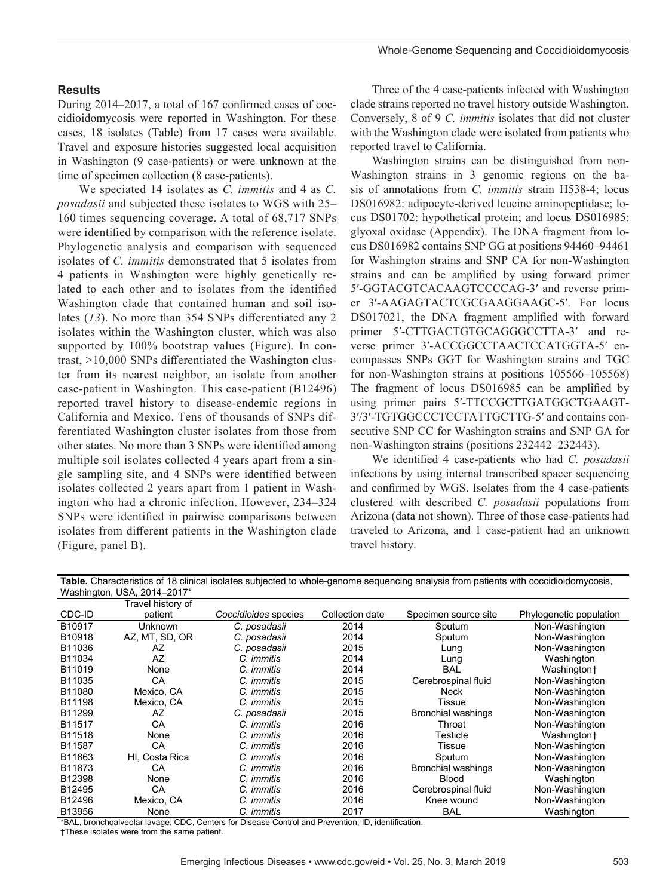#### **Results**

During 2014–2017, a total of 167 confirmed cases of coccidioidomycosis were reported in Washington. For these cases, 18 isolates (Table) from 17 cases were available. Travel and exposure histories suggested local acquisition in Washington (9 case-patients) or were unknown at the time of specimen collection (8 case-patients).

We speciated 14 isolates as *C. immitis* and 4 as *C. posadasii* and subjected these isolates to WGS with 25– 160 times sequencing coverage. A total of 68,717 SNPs were identified by comparison with the reference isolate. Phylogenetic analysis and comparison with sequenced isolates of *C. immitis* demonstrated that 5 isolates from 4 patients in Washington were highly genetically related to each other and to isolates from the identified Washington clade that contained human and soil isolates (*13*). No more than 354 SNPs differentiated any 2 isolates within the Washington cluster, which was also supported by 100% bootstrap values (Figure). In contrast, >10,000 SNPs differentiated the Washington cluster from its nearest neighbor, an isolate from another case-patient in Washington. This case-patient (B12496) reported travel history to disease-endemic regions in California and Mexico. Tens of thousands of SNPs differentiated Washington cluster isolates from those from other states. No more than 3 SNPs were identified among multiple soil isolates collected 4 years apart from a single sampling site, and 4 SNPs were identified between isolates collected 2 years apart from 1 patient in Washington who had a chronic infection. However, 234–324 SNPs were identified in pairwise comparisons between isolates from different patients in the Washington clade (Figure, panel B).

Three of the 4 case-patients infected with Washington clade strains reported no travel history outside Washington. Conversely, 8 of 9 *C. immitis* isolates that did not cluster with the Washington clade were isolated from patients who reported travel to California.

Washington strains can be distinguished from non-Washington strains in 3 genomic regions on the basis of annotations from *C. immitis* strain H538-4; locus DS016982: adipocyte-derived leucine aminopeptidase; locus DS01702: hypothetical protein; and locus DS016985: glyoxal oxidase (Appendix). The DNA fragment from locus DS016982 contains SNP GG at positions 94460–94461 for Washington strains and SNP CA for non-Washington strains and can be amplified by using forward primer 5′-GGTACGTCACAAGTCCCCAG-3′ and reverse primer 3′-AAGAGTACTCGCGAAGGAAGC-5′. For locus DS017021, the DNA fragment amplified with forward primer 5′-CTTGACTGTGCAGGGCCTTA-3′ and reverse primer 3′-ACCGGCCTAACTCCATGGTA-5′ encompasses SNPs GGT for Washington strains and TGC for non-Washington strains at positions 105566–105568) The fragment of locus DS016985 can be amplified by using primer pairs 5′-TTCCGCTTGATGGCTGAAGT-3′/3′-TGTGGCCCTCCTATTGCTTG-5′ and contains consecutive SNP CC for Washington strains and SNP GA for non-Washington strains (positions 232442–232443).

We identified 4 case-patients who had *C. posadasii* infections by using internal transcribed spacer sequencing and confirmed by WGS. Isolates from the 4 case-patients clustered with described *C. posadasii* populations from Arizona (data not shown). Three of those case-patients had traveled to Arizona, and 1 case-patient had an unknown travel history.

**Table.** Characteristics of 18 clinical isolates subjected to whole-genome sequencing analysis from patients with coccidioidomycosis, Washington, USA, 2014–2017\*

|        | Travel history of |                             |                 |                           |                         |
|--------|-------------------|-----------------------------|-----------------|---------------------------|-------------------------|
| CDC-ID | patient           | <i>Coccidioides</i> species | Collection date | Specimen source site      | Phylogenetic population |
| B10917 | Unknown           | C. posadasii                | 2014            | Sputum                    | Non-Washington          |
| B10918 | AZ, MT, SD, OR    | C. posadasii                | 2014            | Sputum                    | Non-Washington          |
| B11036 | AZ                | C. posadasii                | 2015            | Lung                      | Non-Washington          |
| B11034 | AZ                | C. <i>immitis</i>           | 2014            | Lung                      | Washington              |
| B11019 | None              | C. <i>immitis</i>           | 2014            | <b>BAL</b>                | Washington+             |
| B11035 | CА                | C. <i>immitis</i>           | 2015            | Cerebrospinal fluid       | Non-Washington          |
| B11080 | Mexico, CA        | C. <i>immitis</i>           | 2015            | Neck                      | Non-Washington          |
| B11198 | Mexico, CA        | C. immitis                  | 2015            | Tissue                    | Non-Washington          |
| B11299 | AZ                | C. posadasii                | 2015            | <b>Bronchial washings</b> | Non-Washington          |
| B11517 | СA                | C. <i>immitis</i>           | 2016            | Throat                    | Non-Washington          |
| B11518 | None              | C. immitis                  | 2016            | Testicle                  | Washington+             |
| B11587 | СA                | C. <i>immitis</i>           | 2016            | Tissue                    | Non-Washington          |
| B11863 | HI. Costa Rica    | C. immitis                  | 2016            | Sputum                    | Non-Washington          |
| B11873 | CА                | C. <i>immitis</i>           | 2016            | <b>Bronchial washings</b> | Non-Washington          |
| B12398 | None              | C. <i>immitis</i>           | 2016            | <b>Blood</b>              | Washington              |
| B12495 | CA                | C. <i>immitis</i>           | 2016            | Cerebrospinal fluid       | Non-Washington          |
| B12496 | Mexico, CA        | C. immitis                  | 2016            | Knee wound                | Non-Washington          |
| B13956 | None              | C. immitis                  | 2017            | <b>BAL</b>                | Washington              |

\*BAL, bronchoalveolar lavage; CDC, Centers for Disease Control and Prevention; ID, identification.

†These isolates were from the same patient.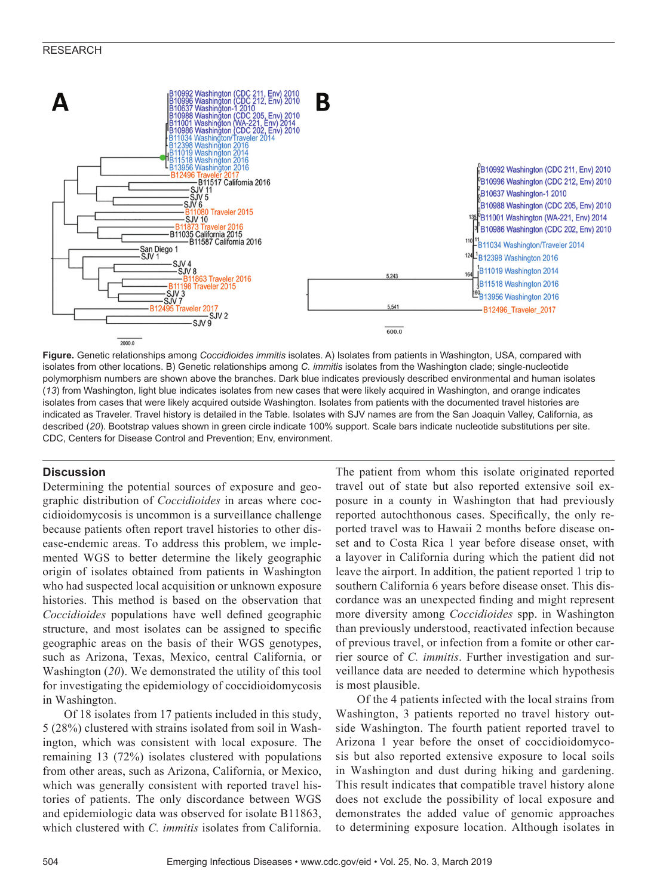

**Figure.** Genetic relationships among *Coccidioides immitis* isolates. A) Isolates from patients in Washington, USA, compared with isolates from other locations. B) Genetic relationships among *C. immitis* isolates from the Washington clade; single-nucleotide polymorphism numbers are shown above the branches. Dark blue indicates previously described environmental and human isolates (*13*) from Washington, light blue indicates isolates from new cases that were likely acquired in Washington, and orange indicates isolates from cases that were likely acquired outside Washington. Isolates from patients with the documented travel histories are indicated as Traveler. Travel history is detailed in the Table. Isolates with SJV names are from the San Joaquin Valley, California, as described (*20*). Bootstrap values shown in green circle indicate 100% support. Scale bars indicate nucleotide substitutions per site. CDC, Centers for Disease Control and Prevention; Env, environment.

#### **Discussion**

Determining the potential sources of exposure and geographic distribution of *Coccidioides* in areas where coccidioidomycosis is uncommon is a surveillance challenge because patients often report travel histories to other disease-endemic areas. To address this problem, we implemented WGS to better determine the likely geographic origin of isolates obtained from patients in Washington who had suspected local acquisition or unknown exposure histories. This method is based on the observation that *Coccidioides* populations have well defined geographic structure, and most isolates can be assigned to specific geographic areas on the basis of their WGS genotypes, such as Arizona, Texas, Mexico, central California, or Washington (*20*). We demonstrated the utility of this tool for investigating the epidemiology of coccidioidomycosis in Washington.

Of 18 isolates from 17 patients included in this study, 5 (28%) clustered with strains isolated from soil in Washington, which was consistent with local exposure. The remaining 13 (72%) isolates clustered with populations from other areas, such as Arizona, California, or Mexico, which was generally consistent with reported travel histories of patients. The only discordance between WGS and epidemiologic data was observed for isolate B11863, which clustered with *C. immitis* isolates from California.

The patient from whom this isolate originated reported travel out of state but also reported extensive soil exposure in a county in Washington that had previously reported autochthonous cases. Specifically, the only reported travel was to Hawaii 2 months before disease onset and to Costa Rica 1 year before disease onset, with a layover in California during which the patient did not leave the airport. In addition, the patient reported 1 trip to southern California 6 years before disease onset. This discordance was an unexpected finding and might represent more diversity among *Coccidioides* spp. in Washington than previously understood, reactivated infection because of previous travel, or infection from a fomite or other carrier source of *C. immitis*. Further investigation and surveillance data are needed to determine which hypothesis is most plausible.

Of the 4 patients infected with the local strains from Washington, 3 patients reported no travel history outside Washington. The fourth patient reported travel to Arizona 1 year before the onset of coccidioidomycosis but also reported extensive exposure to local soils in Washington and dust during hiking and gardening. This result indicates that compatible travel history alone does not exclude the possibility of local exposure and demonstrates the added value of genomic approaches to determining exposure location. Although isolates in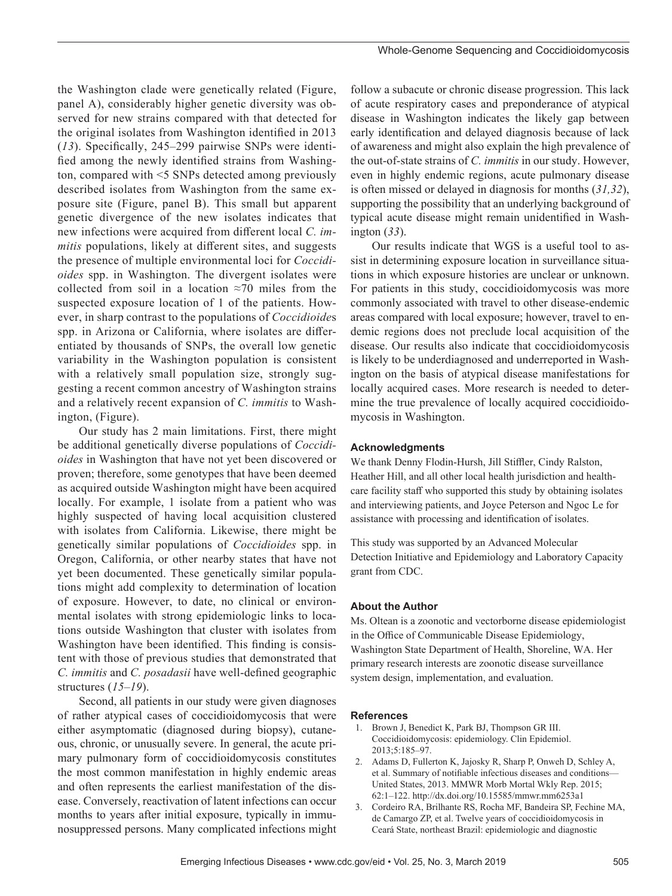the Washington clade were genetically related (Figure, panel A), considerably higher genetic diversity was observed for new strains compared with that detected for the original isolates from Washington identified in 2013 (*13*). Specifically, 245–299 pairwise SNPs were identified among the newly identified strains from Washington, compared with <5 SNPs detected among previously described isolates from Washington from the same exposure site (Figure, panel B). This small but apparent genetic divergence of the new isolates indicates that new infections were acquired from different local *C. immitis* populations, likely at different sites, and suggests the presence of multiple environmental loci for *Coccidioides* spp. in Washington. The divergent isolates were collected from soil in a location ≈70 miles from the suspected exposure location of 1 of the patients. However, in sharp contrast to the populations of *Coccidioide*s spp. in Arizona or California, where isolates are differentiated by thousands of SNPs, the overall low genetic variability in the Washington population is consistent with a relatively small population size, strongly suggesting a recent common ancestry of Washington strains and a relatively recent expansion of *C. immitis* to Washington, (Figure).

Our study has 2 main limitations. First, there might be additional genetically diverse populations of *Coccidioides* in Washington that have not yet been discovered or proven; therefore, some genotypes that have been deemed as acquired outside Washington might have been acquired locally. For example, 1 isolate from a patient who was highly suspected of having local acquisition clustered with isolates from California. Likewise, there might be genetically similar populations of *Coccidioides* spp. in Oregon, California, or other nearby states that have not yet been documented. These genetically similar populations might add complexity to determination of location of exposure. However, to date, no clinical or environmental isolates with strong epidemiologic links to locations outside Washington that cluster with isolates from Washington have been identified. This finding is consistent with those of previous studies that demonstrated that *C. immitis* and *C. posadasii* have well-defined geographic structures (*15–19*).

Second, all patients in our study were given diagnoses of rather atypical cases of coccidioidomycosis that were either asymptomatic (diagnosed during biopsy), cutaneous, chronic, or unusually severe. In general, the acute primary pulmonary form of coccidioidomycosis constitutes the most common manifestation in highly endemic areas and often represents the earliest manifestation of the disease. Conversely, reactivation of latent infections can occur months to years after initial exposure, typically in immunosuppressed persons. Many complicated infections might follow a subacute or chronic disease progression. This lack of acute respiratory cases and preponderance of atypical disease in Washington indicates the likely gap between early identification and delayed diagnosis because of lack of awareness and might also explain the high prevalence of the out-of-state strains of *C. immitis* in our study. However, even in highly endemic regions, acute pulmonary disease is often missed or delayed in diagnosis for months (*31,32*), supporting the possibility that an underlying background of typical acute disease might remain unidentified in Washington (*33*).

Our results indicate that WGS is a useful tool to assist in determining exposure location in surveillance situations in which exposure histories are unclear or unknown. For patients in this study, coccidioidomycosis was more commonly associated with travel to other disease-endemic areas compared with local exposure; however, travel to endemic regions does not preclude local acquisition of the disease. Our results also indicate that coccidioidomycosis is likely to be underdiagnosed and underreported in Washington on the basis of atypical disease manifestations for locally acquired cases. More research is needed to determine the true prevalence of locally acquired coccidioidomycosis in Washington.

#### **Acknowledgments**

We thank Denny Flodin-Hursh, Jill Stiffler, Cindy Ralston, Heather Hill, and all other local health jurisdiction and healthcare facility staff who supported this study by obtaining isolates and interviewing patients, and Joyce Peterson and Ngoc Le for assistance with processing and identification of isolates.

This study was supported by an Advanced Molecular Detection Initiative and Epidemiology and Laboratory Capacity grant from CDC.

#### **About the Author**

Ms. Oltean is a zoonotic and vectorborne disease epidemiologist in the Office of Communicable Disease Epidemiology, Washington State Department of Health, Shoreline, WA. Her primary research interests are zoonotic disease surveillance system design, implementation, and evaluation.

#### **References**

- 1. Brown J, Benedict K, Park BJ, Thompson GR III. Coccidioidomycosis: epidemiology. Clin Epidemiol. 2013;5:185–97.
- 2. Adams D, Fullerton K, Jajosky R, Sharp P, Onweh D, Schley A, et al. Summary of notifiable infectious diseases and conditions— United States, 2013. MMWR Morb Mortal Wkly Rep. 2015; 62:1–122. http://dx.doi.org/10.15585/mmwr.mm6253a1
- 3. Cordeiro RA, Brilhante RS, Rocha MF, Bandeira SP, Fechine MA, de Camargo ZP, et al. Twelve years of coccidioidomycosis in Ceará State, northeast Brazil: epidemiologic and diagnostic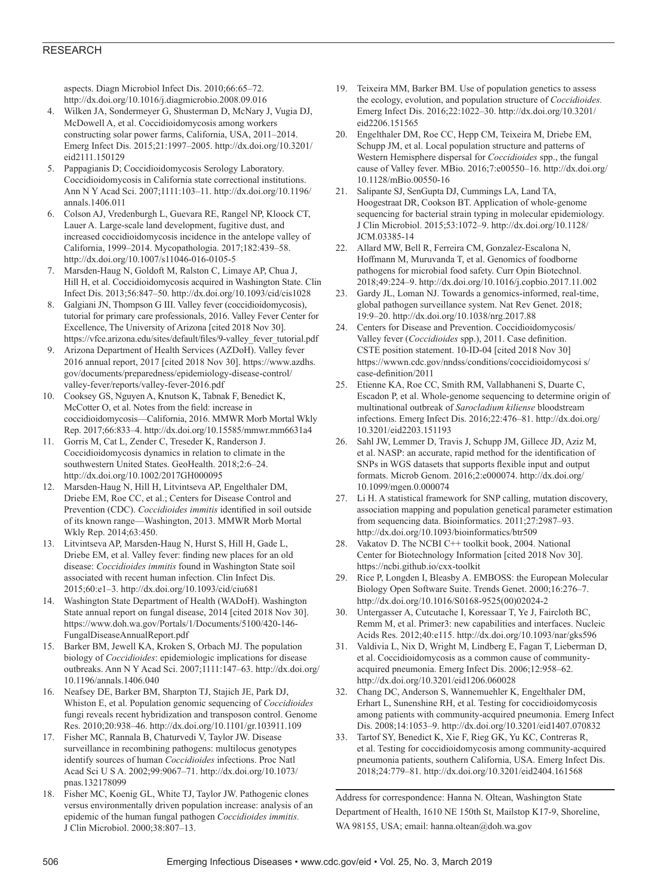#### RESEARCH

aspects. Diagn Microbiol Infect Dis. 2010;66:65–72. http://dx.doi.org/10.1016/j.diagmicrobio.2008.09.016

- 4. Wilken JA, Sondermeyer G, Shusterman D, McNary J, Vugia DJ, McDowell A, et al. Coccidioidomycosis among workers constructing solar power farms, California, USA, 2011–2014. Emerg Infect Dis. 2015;21:1997–2005. http://dx.doi.org/10.3201/ eid2111.150129
- 5. Pappagianis D; Coccidioidomycosis Serology Laboratory. Coccidioidomycosis in California state correctional institutions. Ann N Y Acad Sci. 2007;1111:103–11. http://dx.doi.org/10.1196/ annals.1406.011
- 6. Colson AJ, Vredenburgh L, Guevara RE, Rangel NP, Kloock CT, Lauer A. Large-scale land development, fugitive dust, and increased coccidioidomycosis incidence in the antelope valley of California, 1999–2014. Mycopathologia. 2017;182:439–58. http://dx.doi.org/10.1007/s11046-016-0105-5
- 7. Marsden-Haug N, Goldoft M, Ralston C, Limaye AP, Chua J, Hill H, et al. Coccidioidomycosis acquired in Washington State. Clin Infect Dis. 2013;56:847–50. http://dx.doi.org/10.1093/cid/cis1028
- 8. Galgiani JN, Thompson G III. Valley fever (coccidioidomycosis), tutorial for primary care professionals, 2016. Valley Fever Center for Excellence, The University of Arizona [cited 2018 Nov 30]. https://vfce.arizona.edu/sites/default/files/9-valley\_fever\_tutorial.pdf
- 9. Arizona Department of Health Services (AZDoH). Valley fever 2016 annual report, 2017 [cited 2018 Nov 30]. https://www.azdhs. gov/documents/preparedness/epidemiology-disease-control/ valley-fever/reports/valley-fever-2016.pdf
- 10. Cooksey GS, Nguyen A, Knutson K, Tabnak F, Benedict K, McCotter O, et al. Notes from the field: increase in coccidioidomycosis—California, 2016. MMWR Morb Mortal Wkly Rep. 2017;66:833–4. http://dx.doi.org/10.15585/mmwr.mm6631a4
- 11. Gorris M, Cat L, Zender C, Treseder K, Randerson J. Coccidioidomycosis dynamics in relation to climate in the southwestern United States. GeoHealth. 2018;2:6–24. http://dx.doi.org/10.1002/2017GH000095
- 12. Marsden-Haug N, Hill H, Litvintseva AP, Engelthaler DM, Driebe EM, Roe CC, et al.; Centers for Disease Control and Prevention (CDC). *Coccidioides immitis* identified in soil outside of its known range—Washington, 2013. MMWR Morb Mortal Wkly Rep. 2014;63:450.
- 13. Litvintseva AP, Marsden-Haug N, Hurst S, Hill H, Gade L, Driebe EM, et al. Valley fever: finding new places for an old disease: *Coccidioides immitis* found in Washington State soil associated with recent human infection. Clin Infect Dis. 2015;60:e1–3. http://dx.doi.org/10.1093/cid/ciu681
- 14. Washington State Department of Health (WADoH). Washington State annual report on fungal disease, 2014 [cited 2018 Nov 30]. https://www.doh.wa.gov/Portals/1/Documents/5100/420-146- FungalDiseaseAnnualReport.pdf
- 15. Barker BM, Jewell KA, Kroken S, Orbach MJ. The population biology of *Coccidioides*: epidemiologic implications for disease outbreaks. Ann N Y Acad Sci. 2007;1111:147–63. http://dx.doi.org/ 10.1196/annals.1406.040
- 16. Neafsey DE, Barker BM, Sharpton TJ, Stajich JE, Park DJ, Whiston E, et al. Population genomic sequencing of *Coccidioides* fungi reveals recent hybridization and transposon control. Genome Res. 2010;20:938–46. http://dx.doi.org/10.1101/gr.103911.109
- 17. Fisher MC, Rannala B, Chaturvedi V, Taylor JW. Disease surveillance in recombining pathogens: multilocus genotypes identify sources of human *Coccidioides* infections. Proc Natl Acad Sci U S A. 2002;99:9067–71. http://dx.doi.org/10.1073/ pnas.132178099
- 18. Fisher MC, Koenig GL, White TJ, Taylor JW. Pathogenic clones versus environmentally driven population increase: analysis of an epidemic of the human fungal pathogen *Coccidioides immitis.* J Clin Microbiol. 2000;38:807–13.
- 19. Teixeira MM, Barker BM. Use of population genetics to assess the ecology, evolution, and population structure of *Coccidioides.* Emerg Infect Dis. 2016;22:1022–30. http://dx.doi.org/10.3201/ eid2206.151565
- 20. Engelthaler DM, Roe CC, Hepp CM, Teixeira M, Driebe EM, Schupp JM, et al. Local population structure and patterns of Western Hemisphere dispersal for *Coccidioides* spp., the fungal cause of Valley fever. MBio. 2016;7:e00550–16. http://dx.doi.org/ 10.1128/mBio.00550-16
- 21. Salipante SJ, SenGupta DJ, Cummings LA, Land TA, Hoogestraat DR, Cookson BT. Application of whole-genome sequencing for bacterial strain typing in molecular epidemiology. J Clin Microbiol. 2015;53:1072–9. http://dx.doi.org/10.1128/ JCM.03385-14
- 22. Allard MW, Bell R, Ferreira CM, Gonzalez-Escalona N, Hoffmann M, Muruvanda T, et al. Genomics of foodborne pathogens for microbial food safety. Curr Opin Biotechnol. 2018;49:224–9. http://dx.doi.org/10.1016/j.copbio.2017.11.002
- 23. Gardy JL, Loman NJ. Towards a genomics-informed, real-time, global pathogen surveillance system. Nat Rev Genet. 2018; 19:9–20. http://dx.doi.org/10.1038/nrg.2017.88
- 24. Centers for Disease and Prevention. Coccidioidomycosis/ Valley fever (*Coccidioides* spp.), 2011. Case definition. CSTE position statement. 10-ID-04 [cited 2018 Nov 30] https://wwwn.cdc.gov/nndss/conditions/coccidioidomycosi s/ case-definition/2011
- 25. Etienne KA, Roe CC, Smith RM, Vallabhaneni S, Duarte C, Escadon P, et al. Whole-genome sequencing to determine origin of multinational outbreak of *Sarocladium kiliense* bloodstream infections. Emerg Infect Dis. 2016;22:476–81. http://dx.doi.org/ 10.3201/eid2203.151193
- 26. Sahl JW, Lemmer D, Travis J, Schupp JM, Gillece JD, Aziz M, et al. NASP: an accurate, rapid method for the identification of SNPs in WGS datasets that supports flexible input and output formats. Microb Genom. 2016;2:e000074. http://dx.doi.org/ 10.1099/mgen.0.000074
- 27. Li H. A statistical framework for SNP calling, mutation discovery, association mapping and population genetical parameter estimation from sequencing data. Bioinformatics. 2011;27:2987–93. http://dx.doi.org/10.1093/bioinformatics/btr509
- Vakatov D. The NCBI C++ toolkit book, 2004. National Center for Biotechnology Information [cited 2018 Nov 30]. https://ncbi.github.io/cxx-toolkit
- 29. Rice P, Longden I, Bleasby A. EMBOSS: the European Molecular Biology Open Software Suite. Trends Genet. 2000;16:276–7. http://dx.doi.org/10.1016/S0168-9525(00)02024-2
- 30. Untergasser A, Cutcutache I, Koressaar T, Ye J, Faircloth BC, Remm M, et al. Primer3: new capabilities and interfaces. Nucleic Acids Res. 2012;40:e115. http://dx.doi.org/10.1093/nar/gks596
- 31. Valdivia L, Nix D, Wright M, Lindberg E, Fagan T, Lieberman D, et al. Coccidioidomycosis as a common cause of communityacquired pneumonia. Emerg Infect Dis. 2006;12:958–62. http://dx.doi.org/10.3201/eid1206.060028
- 32. Chang DC, Anderson S, Wannemuehler K, Engelthaler DM, Erhart L, Sunenshine RH, et al. Testing for coccidioidomycosis among patients with community-acquired pneumonia. Emerg Infect Dis. 2008;14:1053–9. http://dx.doi.org/10.3201/eid1407.070832
- 33. Tartof SY, Benedict K, Xie F, Rieg GK, Yu KC, Contreras R, et al. Testing for coccidioidomycosis among community-acquired pneumonia patients, southern California, USA. Emerg Infect Dis. 2018;24:779–81. http://dx.doi.org/10.3201/eid2404.161568

Address for correspondence: Hanna N. Oltean, Washington State Department of Health, 1610 NE 150th St, Mailstop K17-9, Shoreline, WA 98155, USA; email: hanna.oltean@doh.wa.gov